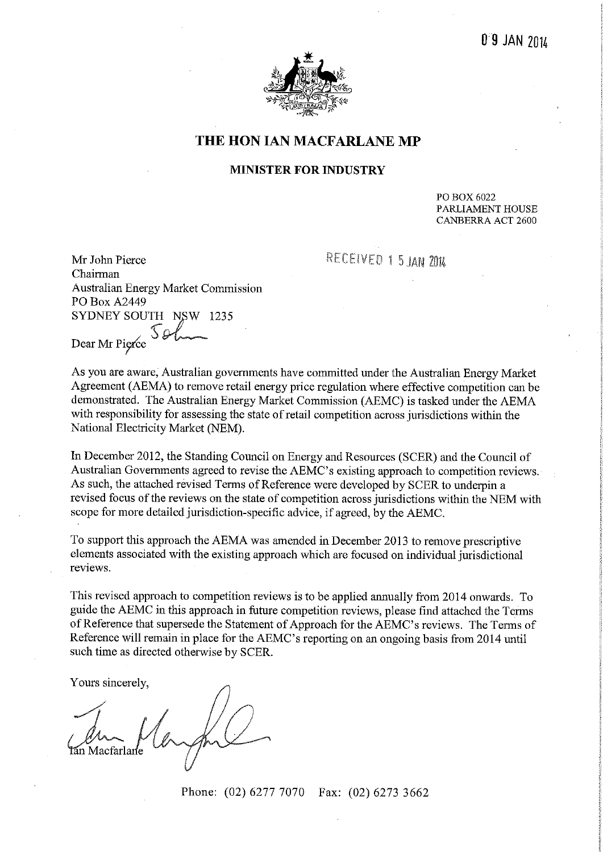

## THE HON IAN MACFARLANE MP

#### **MINISTER FOR INDUSTRY**

PO BOX 6022 PARLIAMENT HOUSE **CANBERRA ACT 2600** 

RECEIVED 1 5 JAN 2014

Mr John Pierce Chairman Australian Energy Market Commission PO Box A2449 SYDNEY SOUTH NSW 1235 SQ Dear Mr Pierce

As you are aware, Australian governments have committed under the Australian Energy Market Agreement (AEMA) to remove retail energy price regulation where effective competition can be demonstrated. The Australian Energy Market Commission (AEMC) is tasked under the AEMA with responsibility for assessing the state of retail competition across jurisdictions within the National Electricity Market (NEM).

In December 2012, the Standing Council on Energy and Resources (SCER) and the Council of Australian Governments agreed to revise the AEMC's existing approach to competition reviews. As such, the attached revised Terms of Reference were developed by SCER to underpin a revised focus of the reviews on the state of competition across jurisdictions within the NEM with scope for more detailed jurisdiction-specific advice, if agreed, by the AEMC.

To support this approach the AEMA was amended in December 2013 to remove prescriptive elements associated with the existing approach which are focused on individual jurisdictional reviews.

This revised approach to competition reviews is to be applied annually from 2014 onwards. To guide the AEMC in this approach in future competition reviews, please find attached the Terms of Reference that supersede the Statement of Approach for the AEMC's reviews. The Terms of Reference will remain in place for the AEMC's reporting on an ongoing basis from 2014 until such time as directed otherwise by SCER.

Yours sincerely,

Phone: (02) 6277 7070 Fax: (02) 6273 3662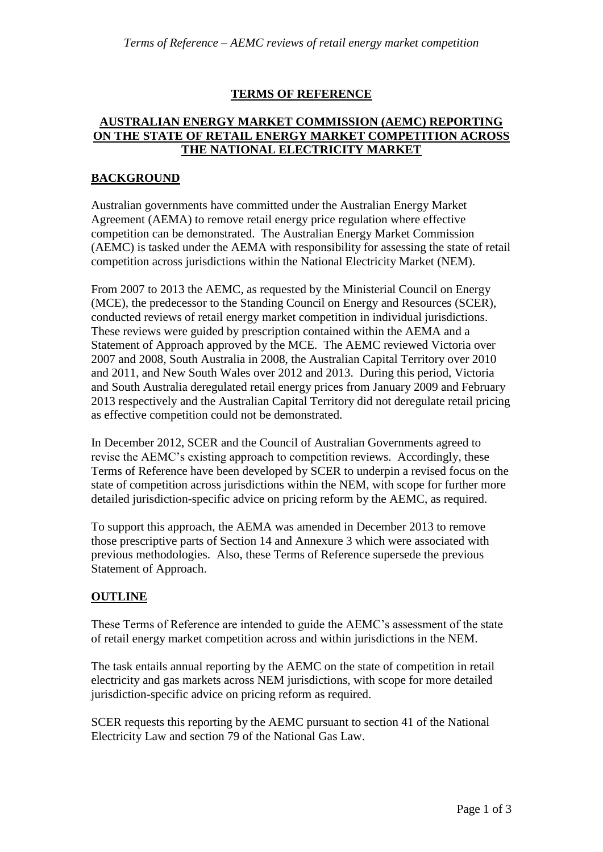## **TERMS OF REFERENCE**

#### **AUSTRALIAN ENERGY MARKET COMMISSION (AEMC) REPORTING ON THE STATE OF RETAIL ENERGY MARKET COMPETITION ACROSS THE NATIONAL ELECTRICITY MARKET**

#### **BACKGROUND**

Australian governments have committed under the Australian Energy Market Agreement (AEMA) to remove retail energy price regulation where effective competition can be demonstrated. The Australian Energy Market Commission (AEMC) is tasked under the AEMA with responsibility for assessing the state of retail competition across jurisdictions within the National Electricity Market (NEM).

From 2007 to 2013 the AEMC, as requested by the Ministerial Council on Energy (MCE), the predecessor to the Standing Council on Energy and Resources (SCER), conducted reviews of retail energy market competition in individual jurisdictions. These reviews were guided by prescription contained within the AEMA and a Statement of Approach approved by the MCE. The AEMC reviewed Victoria over 2007 and 2008, South Australia in 2008, the Australian Capital Territory over 2010 and 2011, and New South Wales over 2012 and 2013. During this period, Victoria and South Australia deregulated retail energy prices from January 2009 and February 2013 respectively and the Australian Capital Territory did not deregulate retail pricing as effective competition could not be demonstrated.

In December 2012, SCER and the Council of Australian Governments agreed to revise the AEMC's existing approach to competition reviews. Accordingly, these Terms of Reference have been developed by SCER to underpin a revised focus on the state of competition across jurisdictions within the NEM, with scope for further more detailed jurisdiction-specific advice on pricing reform by the AEMC, as required.

To support this approach, the AEMA was amended in December 2013 to remove those prescriptive parts of Section 14 and Annexure 3 which were associated with previous methodologies. Also, these Terms of Reference supersede the previous Statement of Approach.

# **OUTLINE**

These Terms of Reference are intended to guide the AEMC's assessment of the state of retail energy market competition across and within jurisdictions in the NEM.

The task entails annual reporting by the AEMC on the state of competition in retail electricity and gas markets across NEM jurisdictions, with scope for more detailed jurisdiction-specific advice on pricing reform as required.

SCER requests this reporting by the AEMC pursuant to section 41 of the National Electricity Law and section 79 of the National Gas Law.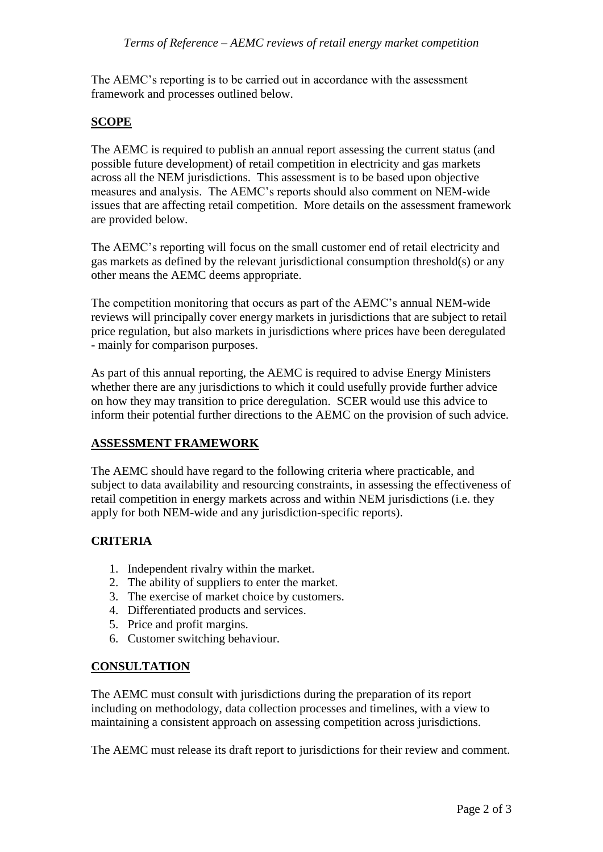The AEMC's reporting is to be carried out in accordance with the assessment framework and processes outlined below.

## **SCOPE**

The AEMC is required to publish an annual report assessing the current status (and possible future development) of retail competition in electricity and gas markets across all the NEM jurisdictions. This assessment is to be based upon objective measures and analysis. The AEMC's reports should also comment on NEM-wide issues that are affecting retail competition. More details on the assessment framework are provided below.

The AEMC's reporting will focus on the small customer end of retail electricity and gas markets as defined by the relevant jurisdictional consumption threshold(s) or any other means the AEMC deems appropriate.

The competition monitoring that occurs as part of the AEMC's annual NEM-wide reviews will principally cover energy markets in jurisdictions that are subject to retail price regulation, but also markets in jurisdictions where prices have been deregulated - mainly for comparison purposes.

As part of this annual reporting, the AEMC is required to advise Energy Ministers whether there are any jurisdictions to which it could usefully provide further advice on how they may transition to price deregulation. SCER would use this advice to inform their potential further directions to the AEMC on the provision of such advice.

# **ASSESSMENT FRAMEWORK**

The AEMC should have regard to the following criteria where practicable, and subject to data availability and resourcing constraints, in assessing the effectiveness of retail competition in energy markets across and within NEM jurisdictions (i.e. they apply for both NEM-wide and any jurisdiction-specific reports).

# **CRITERIA**

- 1. Independent rivalry within the market.
- 2. The ability of suppliers to enter the market.
- 3. The exercise of market choice by customers.
- 4. Differentiated products and services.
- 5. Price and profit margins.
- 6. Customer switching behaviour.

# **CONSULTATION**

The AEMC must consult with jurisdictions during the preparation of its report including on methodology, data collection processes and timelines, with a view to maintaining a consistent approach on assessing competition across jurisdictions.

The AEMC must release its draft report to jurisdictions for their review and comment.